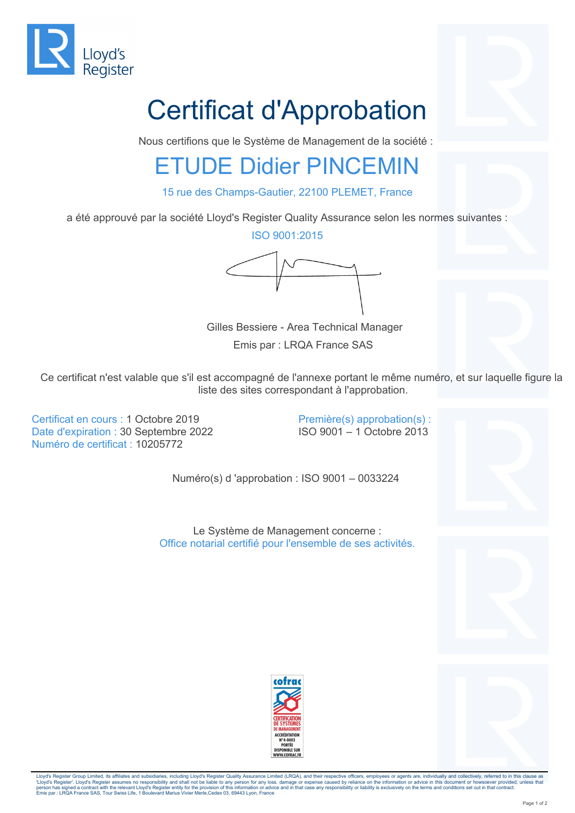

## Certificat d'Approbation

Nous certifions que le Système de Management de la société :

## ETUDE Didier PINCEMIN

15 rue des Champs-Gautier, 22100 PLEMET, France

a été approuvé par la société Lloyd's Register Quality Assurance selon les normes suivantes :

ISO 9001:2015

Gilles Bessiere - Area Technical Manager

Emis par : LRQA France SAS

Ce certificat n'est valable que s'il est accompagné de l'annexe portant le même numéro, et sur laquelle figure la liste des sites correspondant à l'approbation.

Certificat en cours : 1 Octobre 2019 Date d'expiration : 30 Septembre 2022 Numéro de certificat : 10205772

Première(s) approbation(s) : ISO 9001 – 1 Octobre 2013

Numéro(s) d 'approbation : ISO 9001 – 0033224

Le Système de Management concerne : Office notarial certifié pour l'ensemble de ses activités.





Lloyd's Register Group Limited, its affiliates and subsidiaries, including Lloyd's Register Quality Assurance Limited (LRQA), and their respective officers, employees or agents are, individually and collectively, referred